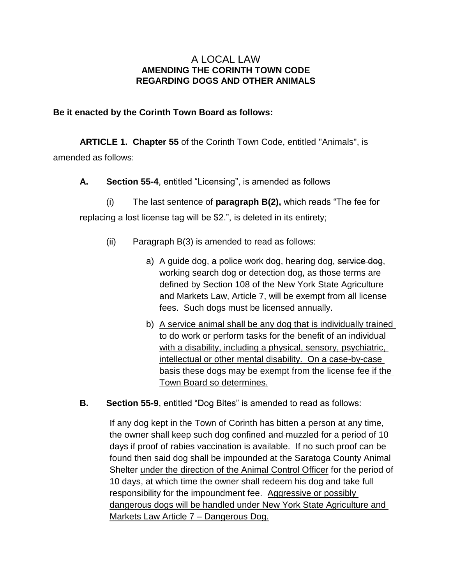## A LOCAL LAW **AMENDING THE CORINTH TOWN CODE REGARDING DOGS AND OTHER ANIMALS**

## **Be it enacted by the Corinth Town Board as follows:**

**ARTICLE 1. Chapter 55** of the Corinth Town Code, entitled "Animals", is amended as follows:

**A. Section 55-4**, entitled "Licensing", is amended as follows

(i) The last sentence of **paragraph B(2),** which reads "The fee for replacing a lost license tag will be \$2.", is deleted in its entirety;

- (ii) Paragraph B(3) is amended to read as follows:
	- a) A guide dog, a police work dog, hearing dog, service dog, working search dog or detection dog, as those terms are defined by Section 108 of the New York State Agriculture and Markets Law, Article 7, will be exempt from all license fees. Such dogs must be licensed annually.
	- b) A service animal shall be any dog that is individually trained to do work or perform tasks for the benefit of an individual with a disability, including a physical, sensory, psychiatric, intellectual or other mental disability. On a case-by-case basis these dogs may be exempt from the license fee if the Town Board so determines.
- **B. Section 55-9**, entitled "Dog Bites" is amended to read as follows:

If any dog kept in the Town of Corinth has bitten a person at any time, the owner shall keep such dog confined and muzzled for a period of 10 days if proof of rabies vaccination is available. If no such proof can be found then said dog shall be impounded at the Saratoga County Animal Shelter under the direction of the Animal Control Officer for the period of 10 days, at which time the owner shall redeem his dog and take full responsibility for the impoundment fee. Aggressive or possibly dangerous dogs will be handled under New York State Agriculture and Markets Law Article 7 – Dangerous Dog.